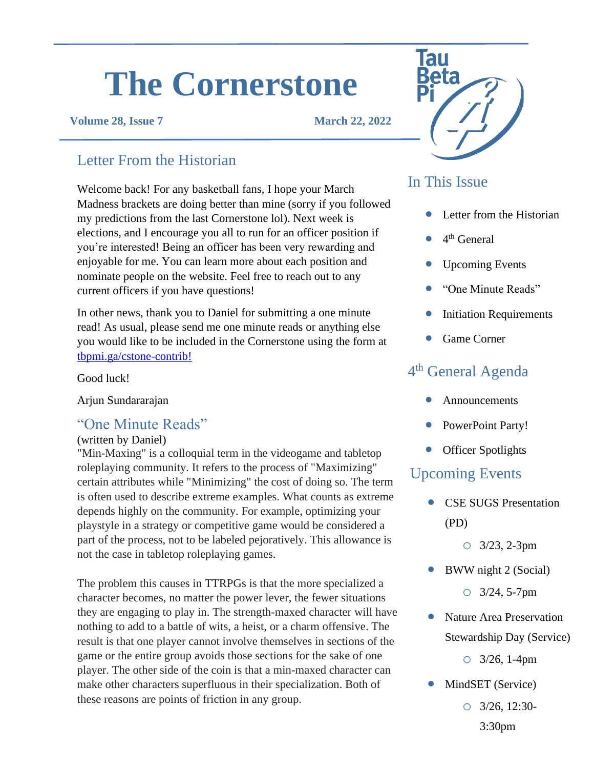# **The Cornerstone**

#### **Volume 28, Issue 7 March 22, 2022**

## Letter From the Historian

Welcome back! For any basketball fans, I hope your March Madness brackets are doing better than mine (sorry if you followed my predictions from the last Cornerstone lol). Next week is elections, and I encourage you all to run for an officer position if you're interested! Being an officer has been very rewarding and enjoyable for me. You can learn more about each position and nominate people on the website. Feel free to reach out to any current officers if you have questions!

In other news, thank you to Daniel for submitting a one minute read! As usual, please send me one minute reads or anything else you would like to be included in the Cornerstone using the form at [tbpmi.ga/cstone-contrib!](https://tbpmi.ga/cstone-contrib)

Good luck!

Arjun Sundararajan

#### "One Minute Reads"

#### (written by Daniel)

"Min-Maxing" is a colloquial term in the videogame and tabletop roleplaying community. It refers to the process of "Maximizing" certain attributes while "Minimizing" the cost of doing so. The term is often used to describe extreme examples. What counts as extreme depends highly on the community. For example, optimizing your playstyle in a strategy or competitive game would be considered a part of the process, not to be labeled pejoratively. This allowance is not the case in tabletop roleplaying games.

The problem this causes in TTRPGs is that the more specialized a character becomes, no matter the power lever, the fewer situations they are engaging to play in. The strength-maxed character will have nothing to add to a battle of wits, a heist, or a charm offensive. The result is that one player cannot involve themselves in sections of the game or the entire group avoids those sections for the sake of one player. The other side of the coin is that a min-maxed character can make other characters superfluous in their specialization. Both of these reasons are points of friction in any group.



## In This Issue

- Letter from the Historian
- $\bullet$  4<sup>th</sup> General
- Upcoming Events
- "One Minute Reads"
- **Initiation Requirements**
- Game Corner

# 4<sup>th</sup> General Agenda

- **Announcements**
- PowerPoint Party!
- Officer Spotlights

#### Upcoming Events

- CSE SUGS Presentation (PD)
	- o 3/23, 2-3pm
- BWW night 2 (Social)
	- o 3/24, 5-7pm
- Nature Area Preservation Stewardship Day (Service)

o 3/26, 1-4pm

- MindSET (Service)
	- o 3/26, 12:30- 3:30pm